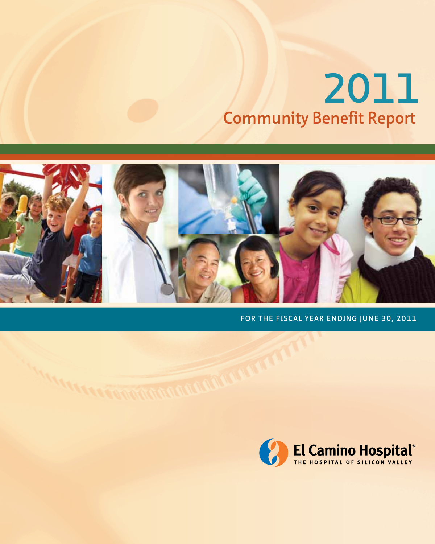# **Community Benefit Report 2011**



FOR THE FISCAL YEAR ENDING JUNE 30, 2011

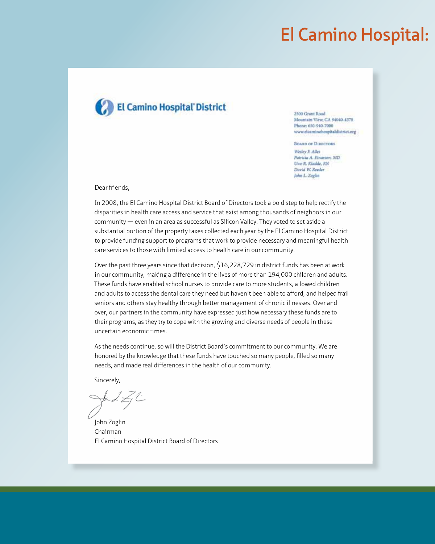### **El Camino Hospital:**



**2500 Grant Road** Mountain View, CA 94040-4378 Phone: 650-940-7000 www.elcaminohospitaldistrict.org

**BOARD OF DIRECTORS** 

Wedey F. Allei Patricia A. Einarion, MD Uwe R. Kladde, RN David W. Reeder John L. Zoglin

Dear friends,

In 2008, the El Camino Hospital District Board of Directors took a bold step to help rectify the disparities in health care access and service that exist among thousands of neighbors in our community — even in an area as successful as Silicon Valley. They voted to set aside a substantial portion of the property taxes collected each year by the El Camino Hospital District to provide funding support to programs that work to provide necessary and meaningful health care services to those with limited access to health care in our community.

Over the past three years since that decision, \$16,228,729 in district funds has been at work in our community, making a difference in the lives of more than 194,000 children and adults. These funds have enabled school nurses to provide care to more students, allowed children and adults to access the dental care they need but haven't been able to afford, and helped frail seniors and others stay healthy through better management of chronic illnesses. Over and over, our partners in the community have expressed just how necessary these funds are to their programs, as they try to cope with the growing and diverse needs of people in these uncertain economic times.

As the needs continue, so will the District Board's commitment to our community. We are honored by the knowledge that these funds have touched so many people, filled so many needs, and made real differences in the health of our community.

Sincerely,

John Zoglin Chairman El Camino Hospital District Board of Directors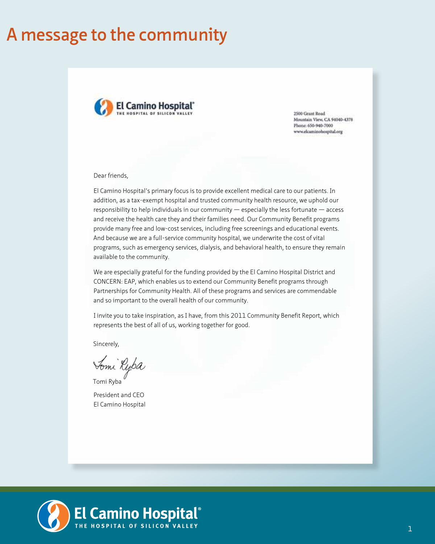### **A message to the community**



2500 Grant Road Mountain View, CA 94040-4378 Phone: 650-940-7000 www.elcaminobospital.org

Dear friends,

El Camino Hospital's primary focus is to provide excellent medical care to our patients. In addition, as a tax-exempt hospital and trusted community health resource, we uphold our responsibility to help individuals in our community — especially the less fortunate — access and receive the health care they and their families need. Our Community Benefit programs provide many free and low-cost services, including free screenings and educational events. And because we are a full-service community hospital, we underwrite the cost of vital programs, such as emergency services, dialysis, and behavioral health, to ensure they remain available to the community.

We are especially grateful for the funding provided by the El Camino Hospital District and CONCERN: EAP, which enables us to extend our Community Benefit programs through Partnerships for Community Health. All of these programs and services are commendable and so important to the overall health of our community.

I invite you to take inspiration, as I have, from this 2011 Community Benefit Report, which represents the best of all of us, working together for good.

Sincerely,

Tomi Ryba

Tomi Ryba President and CEO El Camino Hospital

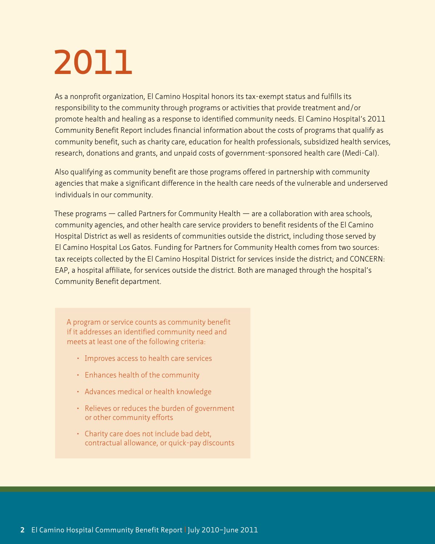# **2011**

As a nonprofit organization, El Camino Hospital honors its tax-exempt status and fulfills its responsibility to the community through programs or activities that provide treatment and/or promote health and healing as a response to identified community needs. El Camino Hospital's 2011 Community Benefit Report includes financial information about the costs of programs that qualify as community benefit, such as charity care, education for health professionals, subsidized health services, research, donations and grants, and unpaid costs of government-sponsored health care (Medi-Cal).

Also qualifying as community benefit are those programs offered in partnership with community agencies that make a significant difference in the health care needs of the vulnerable and underserved individuals in our community.

These programs — called Partners for Community Health — are a collaboration with area schools, community agencies, and other health care service providers to benefit residents of the El Camino Hospital District as well as residents of communities outside the district, including those served by El Camino Hospital Los Gatos. Funding for Partners for Community Health comes from two sources: tax receipts collected by the El Camino Hospital District for services inside the district; and CONCERN: EAP, a hospital affiliate, for services outside the district. Both are managed through the hospital's Community Benefit department.

A program or service counts as community benefit if it addresses an identified community need and meets at least one of the following criteria:

- Improves access to health care services
- Enhances health of the community
- Advances medical or health knowledge
- Relieves or reduces the burden of government or other community efforts
- $\cdot$  Charity care does not include bad debt, contractual allowance, or quick-pay discounts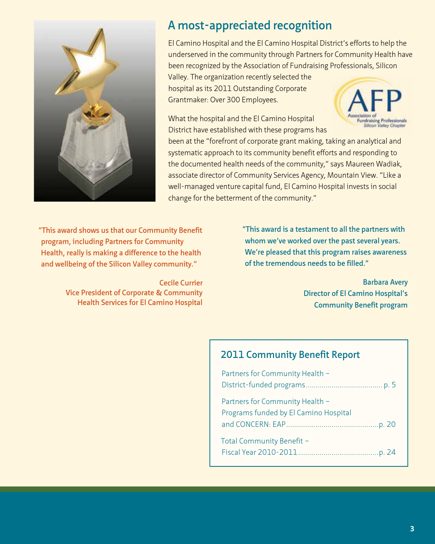

#### **A most-appreciated recognition**

El Camino Hospital and the El Camino Hospital District's efforts to help the underserved in the community through Partners for Community Health have been recognized by the Association of Fundraising Professionals, Silicon

Valley. The organization recently selected the hospital as its 2011 Outstanding Corporate Grantmaker: Over 300 Employees.

What the hospital and the El Camino Hospital District have established with these programs has



been at the "forefront of corporate grant making, taking an analytical and systematic approach to its community benefit efforts and responding to the documented health needs of the community," says Maureen Wadiak, associate director of Community Services Agency, Mountain View. "Like a well-managed venture capital fund, El Camino Hospital invests in social change for the betterment of the community."

**"This award shows us that our Community Benefit program, including Partners for Community Health, really is making a difference to the health and wellbeing of the Silicon Valley community."**

> **Cecile Currier Vice President of Corporate & Community Health Services for El Camino Hospital**

**"This award is a testament to all the partners with whom we've worked over the past several years. We're pleased that this program raises awareness of the tremendous needs to be filled."**

> **Barbara Avery Director of El Camino Hospital's Community Benefit program**

#### **2011 Community Benefit Report**

| Partners for Community Health -                                          |
|--------------------------------------------------------------------------|
|                                                                          |
| Partners for Community Health -<br>Programs funded by El Camino Hospital |
| Total Community Benefit -                                                |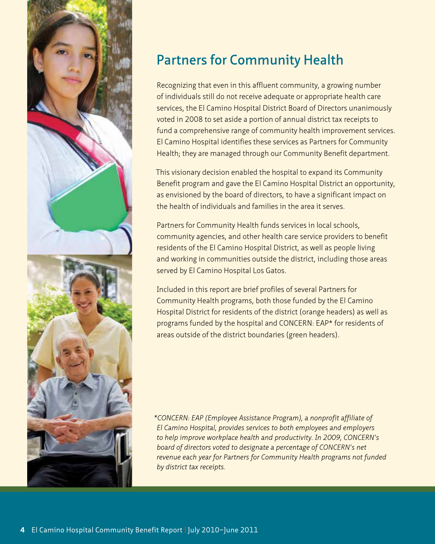

### **Partners for Community Health**

Recognizing that even in this affluent community, a growing number of individuals still do not receive adequate or appropriate health care services, the El Camino Hospital District Board of Directors unanimously voted in 2008 to set aside a portion of annual district tax receipts to fund a comprehensive range of community health improvement services. El Camino Hospital identifies these services as Partners for Community Health; they are managed through our Community Benefit department.

This visionary decision enabled the hospital to expand its Community Benefit program and gave the El Camino Hospital District an opportunity, as envisioned by the board of directors, to have a significant impact on the health of individuals and families in the area it serves.

Partners for Community Health funds services in local schools, community agencies, and other health care service providers to benefit residents of the El Camino Hospital District, as well as people living and working in communities outside the district, including those areas served by El Camino Hospital Los Gatos.

Included in this report are brief profiles of several Partners for Community Health programs, both those funded by the El Camino Hospital District for residents of the district (orange headers) as well as programs funded by the hospital and CONCERN: EAP\* for residents of areas outside of the district boundaries (green headers).

*\*CONCERN: EAP (Employee Assistance Program), a nonprofit affiliate of El Camino Hospital, provides services to both employees and employers to help improve workplace health and productivity. In 2009, CONCERN's board of directors voted to designate a percentage of CONCERN's net revenue each year for Partners for Community Health programs not funded by district tax receipts.*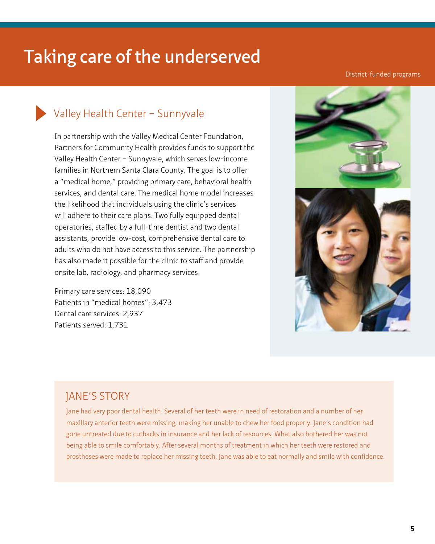#### District-funded programs

#### Valley Health Center – Sunnyvale

In partnership with the Valley Medical Center Foundation, Partners for Community Health provides funds to support the Valley Health Center – Sunnyvale, which serves low-income families in Northern Santa Clara County. The goal is to offer a "medical home," providing primary care, behavioral health services, and dental care. The medical home model increases the likelihood that individuals using the clinic's services will adhere to their care plans. Two fully equipped dental operatories, staffed by a full-time dentist and two dental assistants, provide low-cost, comprehensive dental care to adults who do not have access to this service. The partnership has also made it possible for the clinic to staff and provide onsite lab, radiology, and pharmacy services.

Primary care services: 18,090 Patients in "medical homes": 3,473 Dental care services: 2,937 Patients served: 1,731



#### JANE'S STORY

Jane had very poor dental health. Several of her teeth were in need of restoration and a number of her maxillary anterior teeth were missing, making her unable to chew her food properly. Jane's condition had gone untreated due to cutbacks in insurance and her lack of resources. What also bothered her was not being able to smile comfortably. After several months of treatment in which her teeth were restored and prostheses were made to replace her missing teeth, Jane was able to eat normally and smile with confidence.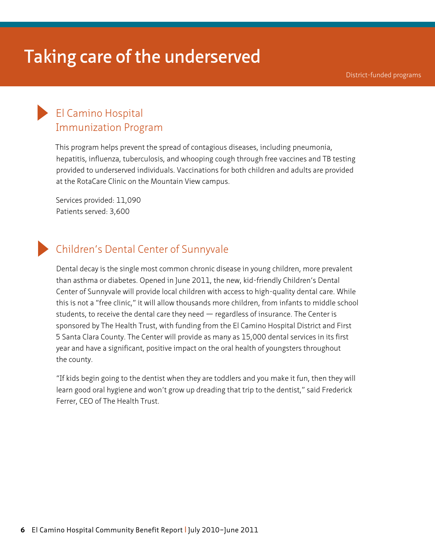District-funded programs

#### El Camino Hospital Immunization Program

This program helps prevent the spread of contagious diseases, including pneumonia, hepatitis, influenza, tuberculosis, and whooping cough through free vaccines and TB testing provided to underserved individuals. Vaccinations for both children and adults are provided at the RotaCare Clinic on the Mountain View campus.

Services provided: 11,090 Patients served: 3,600

#### Children's Dental Center of Sunnyvale

Dental decay is the single most common chronic disease in young children, more prevalent than asthma or diabetes. Opened in June 2011, the new, kid-friendly Children's Dental Center of Sunnyvale will provide local children with access to high-quality dental care. While this is not a "free clinic," it will allow thousands more children, from infants to middle school students, to receive the dental care they need  $-$  regardless of insurance. The Center is sponsored by The Health Trust, with funding from the El Camino Hospital District and First 5 Santa Clara County. The Center will provide as many as 15,000 dental services in its first year and have a significant, positive impact on the oral health of youngsters throughout the county.

'"If kids begin going to the dentist when they are toddlers and you make it fun, then they will learn good oral hygiene and won't grow up dreading that trip to the dentist," said Frederick Ferrer, CEO of The Health Trust.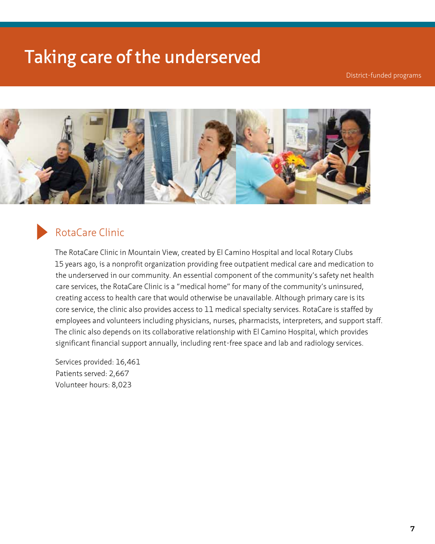District-funded programs



#### RotaCare Clinic

The RotaCare Clinic in Mountain View, created by El Camino Hospital and local Rotary Clubs 15 years ago, is a nonprofit organization providing free outpatient medical care and medication to the underserved in our community. An essential component of the community's safety net health care services, the RotaCare Clinic is a "medical home" for many of the community's uninsured, creating access to health care that would otherwise be unavailable. Although primary care is its core service, the clinic also provides access to 11 medical specialty services. RotaCare is staffed by employees and volunteers including physicians, nurses, pharmacists, interpreters, and support staff. The clinic also depends on its collaborative relationship with El Camino Hospital, which provides significant financial support annually, including rent-free space and lab and radiology services.

Services provided: 16,461 Patients served: 2,667 Volunteer hours: 8,023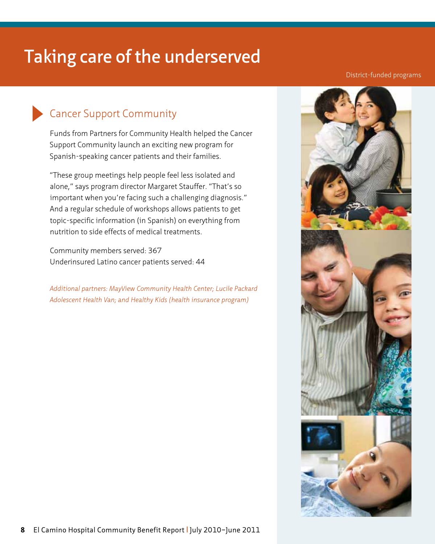#### District-funded programs

### Cancer Support Community

Funds from Partners for Community Health helped the Cancer Support Community launch an exciting new program for Spanish-speaking cancer patients and their families.

'"These group meetings help people feel less isolated and alone," says program director Margaret Stauffer. "That's so important when you're facing such a challenging diagnosis." And a regular schedule of workshops allows patients to get topic-specific information (in Spanish) on everything from nutrition to side effects of medical treatments.

Community members served: 367 Underinsured Latino cancer patients served: 44

*Additional partners: MayView Community Health Center; Lucile Packard Adolescent Health Van; and Healthy Kids (health insurance program)*

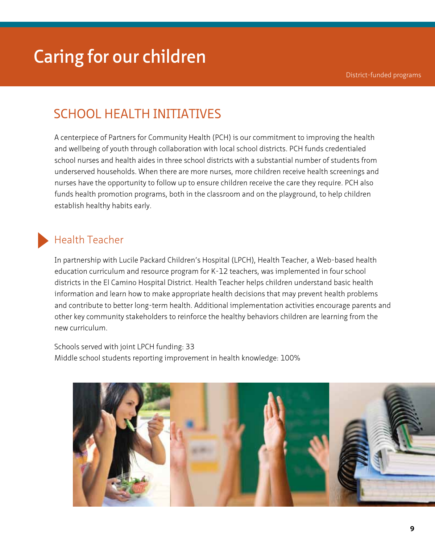### SCHOOL HEALTH INITIATIVES

A centerpiece of Partners for Community Health (PCH) is our commitment to improving the health and wellbeing of youth through collaboration with local school districts. PCH funds credentialed school nurses and health aides in three school districts with a substantial number of students from underserved households. When there are more nurses, more children receive health screenings and nurses have the opportunity to follow up to ensure children receive the care they require. PCH also funds health promotion programs, both in the classroom and on the playground, to help children establish healthy habits early.

#### Health Teacher

In partnership with Lucile Packard Children's Hospital (LPCH), Health Teacher, a Web-based health education curriculum and resource program for K-12 teachers, was implemented in four school districts in the El Camino Hospital District. Health Teacher helps children understand basic health information and learn how to make appropriate health decisions that may prevent health problems and contribute to better long-term health. Additional implementation activities encourage parents and other key community stakeholders to reinforce the healthy behaviors children are learning from the new curriculum.

Schools served with joint LPCH funding: 33 Middle school students reporting improvement in health knowledge: 100%

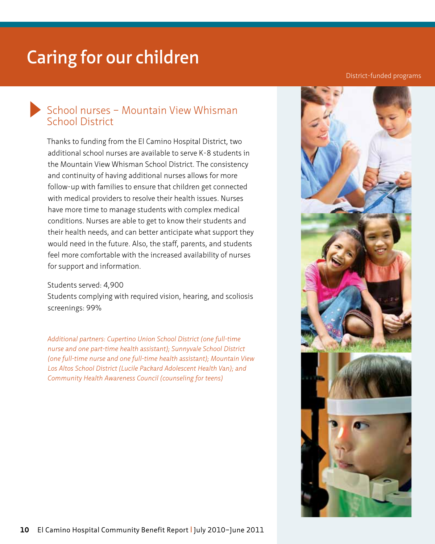#### District-funded programs

#### School nurses – Mountain View Whisman School District

Thanks to funding from the El Camino Hospital District, two additional school nurses are available to serve K-8 students in the Mountain View Whisman School District. The consistency and continuity of having additional nurses allows for more follow-up with families to ensure that children get connected with medical providers to resolve their health issues. Nurses have more time to manage students with complex medical conditions. Nurses are able to get to know their students and their health needs, and can better anticipate what support they would need in the future. Also, the staff, parents, and students feel more comfortable with the increased availability of nurses for support and information.

#### Students served: 4,900

Students complying with required vision, hearing, and scoliosis screenings: 99%

*Additional partners: Cupertino Union School District (one full-time nurse and one part-time health assistant); Sunnyvale School District (one full-time nurse and one full-time health assistant); Mountain View Los Altos School District (Lucile Packard Adolescent Health Van); and Community Health Awareness Council (counseling for teens)*

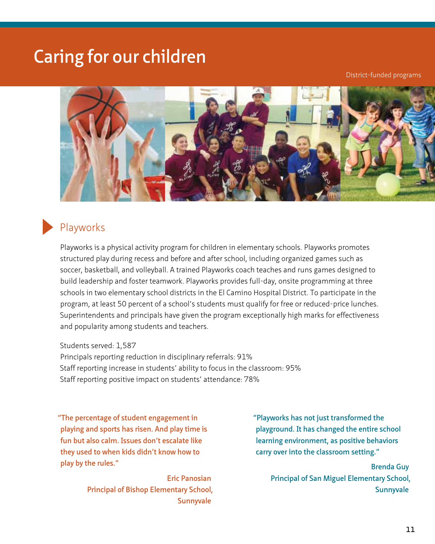District-funded programs



#### Playworks

Playworks is a physical activity program for children in elementary schools. Playworks promotes structured play during recess and before and after school, including organized games such as soccer, basketball, and volleyball. A trained Playworks coach teaches and runs games designed to build leadership and foster teamwork. Playworks provides full-day, onsite programming at three schools in two elementary school districts in the El Camino Hospital District. To participate in the program, at least 50 percent of a school's students must qualify for free or reduced-price lunches. Superintendents and principals have given the program exceptionally high marks for effectiveness and popularity among students and teachers.

Students served: 1,587

Principals reporting reduction in disciplinary referrals: 91% Staff reporting increase in students' ability to focus in the classroom: 95% Staff reporting positive impact on students' attendance: 78%

**"The percentage of student engagement in playing and sports has risen. And play time is fun but also calm. Issues don't escalate like they used to when kids didn't know how to play by the rules."** 

> **Eric Panosian Principal of Bishop Elementary School, Sunnyvale**

**"Playworks has not just transformed the playground. It has changed the entire school learning environment, as positive behaviors carry over into the classroom setting."** 

> **Brenda Guy Principal of San Miguel Elementary School, Sunnyvale**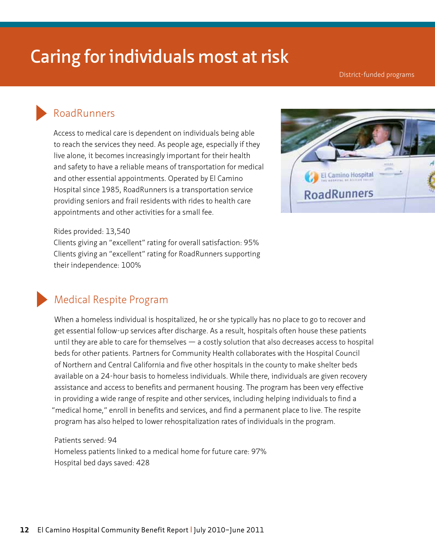District-funded programs

#### RoadRunners

Access to medical care is dependent on individuals being able to reach the services they need. As people age, especially if they live alone, it becomes increasingly important for their health and safety to have a reliable means of transportation for medical and other essential appointments. Operated by El Camino Hospital since 1985, RoadRunners is a transportation service providing seniors and frail residents with rides to health care appointments and other activities for a small fee.



Rides provided: 13,540

Clients giving an "excellent" rating for overall satisfaction: 95% Clients giving an "excellent" rating for RoadRunners supporting their independence: 100%



#### Medical Respite Program

When a homeless individual is hospitalized, he or she typically has no place to go to recover and get essential follow-up services after discharge. As a result, hospitals often house these patients until they are able to care for themselves — a costly solution that also decreases access to hospital beds for other patients. Partners for Community Health collaborates with the Hospital Council of Northern and Central California and five other hospitals in the county to make shelter beds available on a 24-hour basis to homeless individuals. While there, individuals are given recovery assistance and access to benefits and permanent housing. The program has been very effective in providing a wide range of respite and other services, including helping individuals to find a "medical home," enroll in benefits and services, and find a permanent place to live. The respite program has also helped to lower rehospitalization rates of individuals in the program.

#### Patients served: 94 Homeless patients linked to a medical home for future care: 97% Hospital bed days saved: 428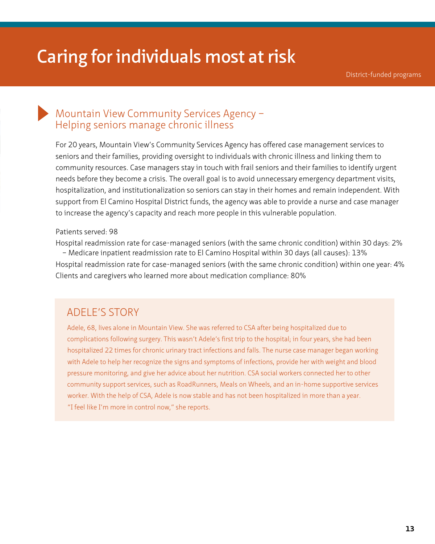District-funded programs

#### Mountain View Community Services Agency – Helping seniors manage chronic illness

For 20 years, Mountain View's Community Services Agency has offered case management services to seniors and their families, providing oversight to individuals with chronic illness and linking them to community resources. Case managers stay in touch with frail seniors and their families to identify urgent needs before they become a crisis. The overall goal is to avoid unnecessary emergency department visits, hospitalization, and institutionalization so seniors can stay in their homes and remain independent. With support from El Camino Hospital District funds, the agency was able to provide a nurse and case manager to increase the agency's capacity and reach more people in this vulnerable population.

#### Patients served: 98

Hospital readmission rate for case-managed seniors (with the same chronic condition) within 30 days: 2%

– Medicare inpatient readmission rate to El Camino Hospital within 30 days (all causes): 13% Hospital readmission rate for case-managed seniors (with the same chronic condition) within one year: 4% Clients and caregivers who learned more about medication compliance: 80%

#### ADELE'S STORY

Adele, 68, lives alone in Mountain View. She was referred to CSA after being hospitalized due to complications following surgery. This wasn't Adele's first trip to the hospital; in four years, she had been hospitalized 22 times for chronic urinary tract infections and falls. The nurse case manager began working with Adele to help her recognize the signs and symptoms of infections, provide her with weight and blood pressure monitoring, and give her advice about her nutrition. CSA social workers connected her to other community support services, such as RoadRunners, Meals on Wheels, and an in-home supportive services worker. With the help of CSA, Adele is now stable and has not been hospitalized in more than a year. "I feel like I'm more in control now," she reports.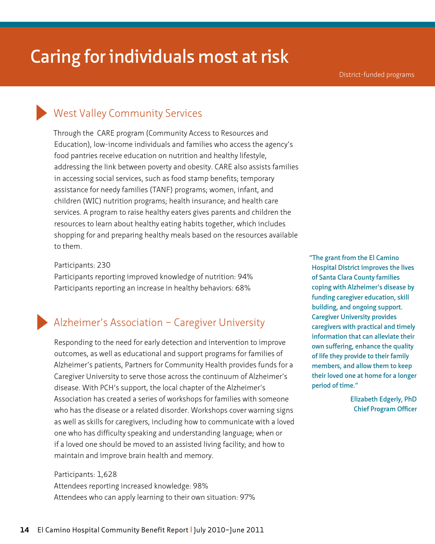#### West Valley Community Services

Through the CARE program (Community Access to Resources and Education), low-income individuals and families who access the agency's food pantries receive education on nutrition and healthy lifestyle, addressing the link between poverty and obesity. CARE also assists families in accessing social services, such as food stamp benefits; temporary assistance for needy families (TANF) programs; women, infant, and children (WIC) nutrition programs; health insurance; and health care services. A program to raise healthy eaters gives parents and children the resources to learn about healthy eating habits together, which includes shopping for and preparing healthy meals based on the resources available to them.

Participants: 230

Participants reporting improved knowledge of nutrition: 94% Participants reporting an increase in healthy behaviors: 68%

#### Alzheimer's Association – Caregiver University

Responding to the need for early detection and intervention to improve outcomes, as well as educational and support programs for families of Alzheimer's patients, Partners for Community Health provides funds for a Caregiver University to serve those across the continuum of Alzheimer's disease. With PCH's support, the local chapter of the Alzheimer's Association has created a series of workshops for families with someone who has the disease or a related disorder. Workshops cover warning signs as well as skills for caregivers, including how to communicate with a loved one who has difficulty speaking and understanding language; when or if a loved one should be moved to an assisted living facility; and how to maintain and improve brain health and memory.

#### Participants: 1,628 Attendees reporting increased knowledge: 98% Attendees who can apply learning to their own situation: 97%

**"The grant from the El Camino Hospital District improves the lives of Santa Clara County families coping with Alzheimer's disease by funding caregiver education, skill building, and ongoing support. Caregiver University provides caregivers with practical and timely information that can alleviate their own suffering, enhance the quality of life they provide to their family members, and allow them to keep their loved one at home for a longer period of time."**

> **Elizabeth Edgerly, PhD Chief Program Officer**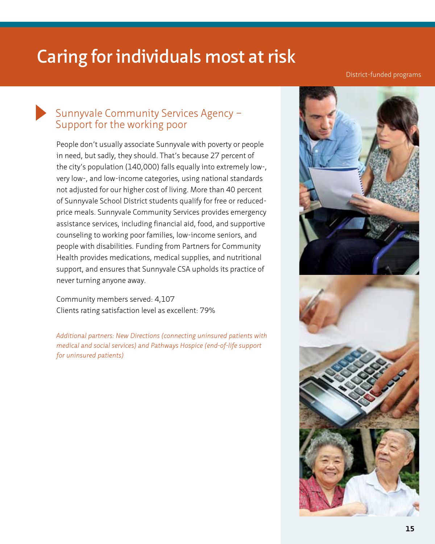District-funded programs

#### Sunnyvale Community Services Agency – Support for the working poor

People don't usually associate Sunnyvale with poverty or people in need, but sadly, they should. That's because 27 percent of the city's population (140,000) falls equally into extremely low-, very low-, and low-income categories, using national standards not adjusted for our higher cost of living. More than 40 percent of Sunnyvale School District students qualify for free or reducedprice meals. Sunnyvale Community Services provides emergency assistance services, including financial aid, food, and supportive counseling to working poor families, low-income seniors, and people with disabilities. Funding from Partners for Community Health provides medications, medical supplies, and nutritional support, and ensures that Sunnyvale CSA upholds its practice of never turning anyone away.

Community members served: 4,107 Clients rating satisfaction level as excellent: 79%

*Additional partners: New Directions (connecting uninsured patients with medical and social services) and Pathways Hospice (end-of-life support for uninsured patients)*

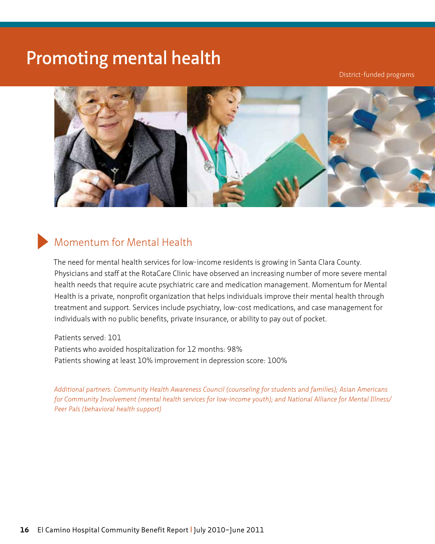### **Promoting mental health**

District-funded programs



#### Momentum for Mental Health

The need for mental health services for low-income residents is growing in Santa Clara County. Physicians and staff at the RotaCare Clinic have observed an increasing number of more severe mental health needs that require acute psychiatric care and medication management. Momentum for Mental Health is a private, nonprofit organization that helps individuals improve their mental health through treatment and support. Services include psychiatry, low-cost medications, and case management for individuals with no public benefits, private insurance, or ability to pay out of pocket.

Patients served: 101 Patients who avoided hospitalization for 12 months: 98% Patients showing at least 10% improvement in depression score: 100%

*Additional partners: Community Health Awareness Council (counseling for students and families); Asian Americans for Community Involvement (mental health services for low-income youth); and National Alliance for Mental Illness/ Peer Pals (behavioral health support)*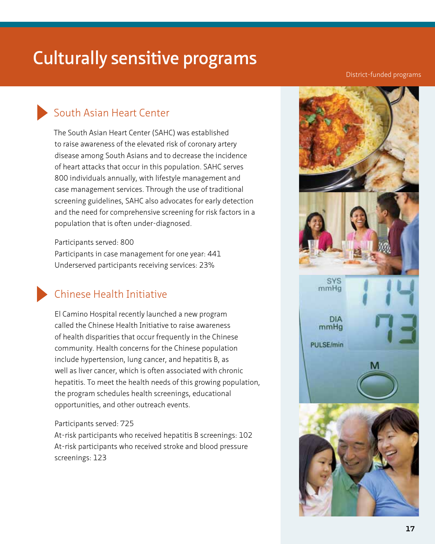### **Culturally sensitive programs**

#### District-funded programs

### South Asian Heart Center

The South Asian Heart Center (SAHC) was established to raise awareness of the elevated risk of coronary artery disease among South Asians and to decrease the incidence of heart attacks that occur in this population. SAHC serves 800 individuals annually, with lifestyle management and case management services. Through the use of traditional screening guidelines, SAHC also advocates for early detection and the need for comprehensive screening for risk factors in a population that is often under-diagnosed.

Participants served: 800 Participants in case management for one year: 441 Underserved participants receiving services: 23%

#### Chinese Health Initiative

El Camino Hospital recently launched a new program called the Chinese Health Initiative to raise awareness of health disparities that occur frequently in the Chinese community. Health concerns for the Chinese population include hypertension, lung cancer, and hepatitis B, as well as liver cancer, which is often associated with chronic hepatitis. To meet the health needs of this growing population, the program schedules health screenings, educational opportunities, and other outreach events.

#### Participants served: 725

At-risk participants who received hepatitis B screenings: 102 At-risk participants who received stroke and blood pressure screenings: 123

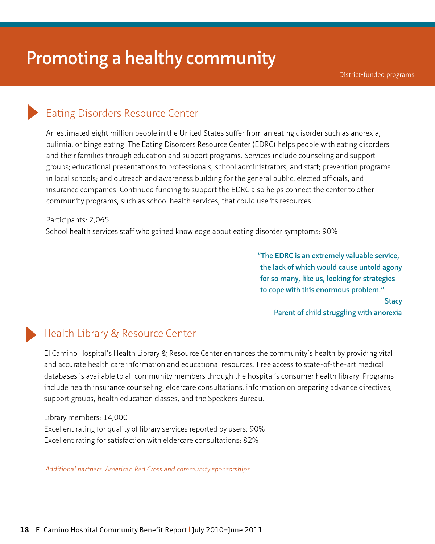#### Eating Disorders Resource Center

An estimated eight million people in the United States suffer from an eating disorder such as anorexia, bulimia, or binge eating. The Eating Disorders Resource Center (EDRC) helps people with eating disorders and their families through education and support programs. Services include counseling and support groups; educational presentations to professionals, school administrators, and staff; prevention programs in local schools; and outreach and awareness building for the general public, elected officials, and insurance companies. Continued funding to support the EDRC also helps connect the center to other community programs, such as school health services, that could use its resources.

Participants: 2,065 School health services staff who gained knowledge about eating disorder symptoms: 90%

> **"The EDRC is an extremely valuable service, the lack of which would cause untold agony for so many, like us, looking for strategies to cope with this enormous problem."**

**Stacy Parent of child struggling with anorexia**

#### Health Library & Resource Center

El Camino Hospital's Health Library & Resource Center enhances the community's health by providing vital and accurate health care information and educational resources. Free access to state-of-the-art medical databases is available to all community members through the hospital's consumer health library. Programs include health insurance counseling, eldercare consultations, information on preparing advance directives, support groups, health education classes, and the Speakers Bureau.

Library members: 14,000 Excellent rating for quality of library services reported by users: 90% Excellent rating for satisfaction with eldercare consultations: 82%

 *Additional partners: American Red Cross and community sponsorships*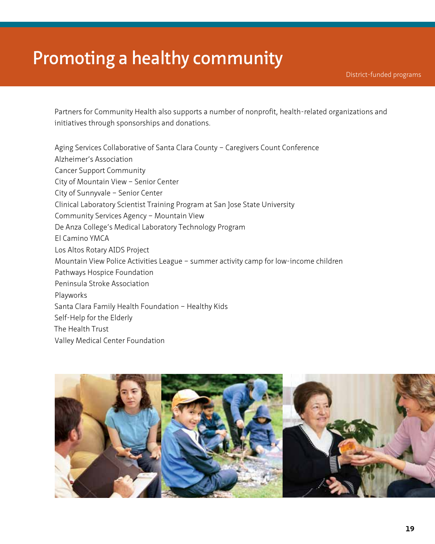### **Promoting a healthy community**

Partners for Community Health also supports a number of nonprofit, health-related organizations and initiatives through sponsorships and donations.

Aging Services Collaborative of Santa Clara County – Caregivers Count Conference Alzheimer's Association Cancer Support Community City of Mountain View – Senior Center City of Sunnyvale – Senior Center Clinical Laboratory Scientist Training Program at San Jose State University Community Services Agency – Mountain View De Anza College's Medical Laboratory Technology Program El Camino YMCA Los Altos Rotary AIDS Project Mountain View Police Activities League – summer activity camp for low-income children Pathways Hospice Foundation Peninsula Stroke Association Playworks Santa Clara Family Health Foundation – Healthy Kids Self-Help for the Elderly The Health Trust Valley Medical Center Foundation

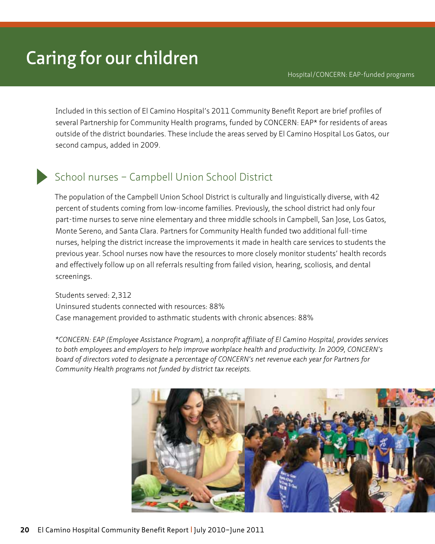Included in this section of El Camino Hospital's 2011 Community Benefit Report are brief profiles of several Partnership for Community Health programs, funded by CONCERN: EAP\* for residents of areas outside of the district boundaries. These include the areas served by El Camino Hospital Los Gatos, our second campus, added in 2009.

#### School nurses – Campbell Union School District

The population of the Campbell Union School District is culturally and linguistically diverse, with 42 percent of students coming from low-income families. Previously, the school district had only four part-time nurses to serve nine elementary and three middle schools in Campbell, San Jose, Los Gatos, Monte Sereno, and Santa Clara. Partners for Community Health funded two additional full-time nurses, helping the district increase the improvements it made in health care services to students the previous year. School nurses now have the resources to more closely monitor students' health records and effectively follow up on all referrals resulting from failed vision, hearing, scoliosis, and dental screenings.

Students served: 2,312 Uninsured students connected with resources: 88% Case management provided to asthmatic students with chronic absences: 88%

 *\*CONCERN: EAP (Employee Assistance Program), a nonprofit affiliate of El Camino Hospital, provides services to both employees and employers to help improve workplace health and productivity. In 2009, CONCERN's board of directors voted to designate a percentage of CONCERN's net revenue each year for Partners for Community Health programs not funded by district tax receipts.*

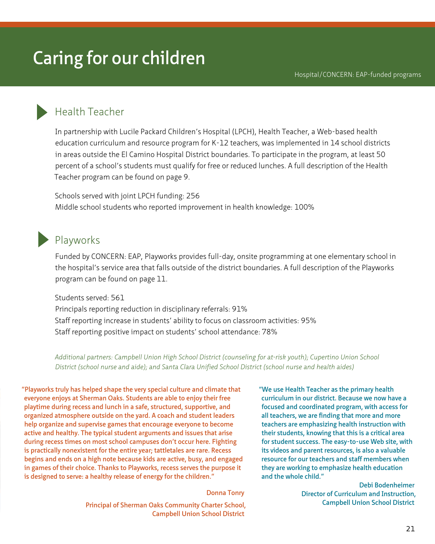#### Health Teacher

In partnership with Lucile Packard Children's Hospital (LPCH), Health Teacher, a Web-based health education curriculum and resource program for K-12 teachers, was implemented in 14 school districts in areas outside the El Camino Hospital District boundaries. To participate in the program, at least 50 percent of a school's students must qualify for free or reduced lunches. A full description of the Health Teacher program can be found on page 9.

Schools served with joint LPCH funding: 256 Middle school students who reported improvement in health knowledge: 100%

#### Playworks

Funded by CONCERN: EAP, Playworks provides full-day, onsite programming at one elementary school in the hospital's service area that falls outside of the district boundaries. A full description of the Playworks program can be found on page 11.

Students served: 561 Principals reporting reduction in disciplinary referrals: 91% Staff reporting increase in students' ability to focus on classroom activities: 95% Staff reporting positive impact on students' school attendance: 78%

*Additional partners: Campbell Union High School District (counseling for at-risk youth); Cupertino Union School District (school nurse and aide); and Santa Clara Unified School District (school nurse and health aides)*

**"Playworks truly has helped shape the very special culture and climate that everyone enjoys at Sherman Oaks. Students are able to enjoy their free playtime during recess and lunch in a safe, structured, supportive, and organized atmosphere outside on the yard. A coach and student leaders help organize and supervise games that encourage everyone to become active and healthy. The typical student arguments and issues that arise during recess times on most school campuses don't occur here. Fighting is practically nonexistent for the entire year; tattletales are rare. Recess begins and ends on a high note because kids are active, busy, and engaged in games of their choice. Thanks to Playworks, recess serves the purpose it is designed to serve: a healthy release of energy for the children."** 

**Donna Tonry**

**Principal of Sherman Oaks Community Charter School, Campbell Union School District**

**"We use Health Teacher as the primary health curriculum in our district. Because we now have a focused and coordinated program, with access for all teachers, we are finding that more and more teachers are emphasizing health instruction with their students, knowing that this is a critical area for student success. The easy-to-use Web site, with its videos and parent resources, is also a valuable resource for our teachers and staff members when they are working to emphasize health education and the whole child."**

> **Debi Bodenheimer Director of Curriculum and Instruction, Campbell Union School District**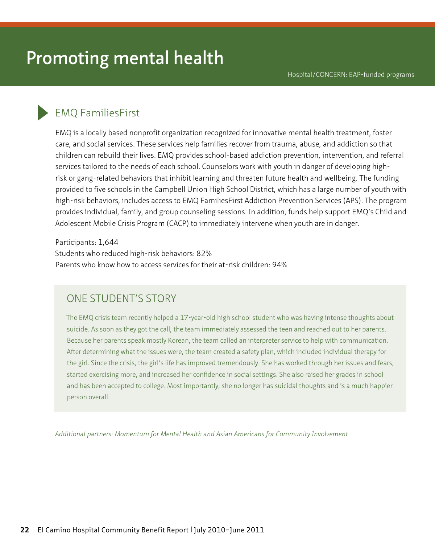### **Promoting mental health**

#### EMQ FamiliesFirst

EMQ is a locally based nonprofit organization recognized for innovative mental health treatment, foster care, and social services. These services help families recover from trauma, abuse, and addiction so that children can rebuild their lives. EMQ provides school-based addiction prevention, intervention, and referral services tailored to the needs of each school. Counselors work with youth in danger of developing highrisk or gang-related behaviors that inhibit learning and threaten future health and wellbeing. The funding provided to five schools in the Campbell Union High School District, which has a large number of youth with high-risk behaviors, includes access to EMQ FamiliesFirst Addiction Prevention Services (APS). The program provides individual, family, and group counseling sessions. In addition, funds help support EMQ's Child and Adolescent Mobile Crisis Program (CACP) to immediately intervene when youth are in danger.

Participants: 1,644 Students who reduced high-risk behaviors: 82% Parents who know how to access services for their at-risk children: 94%

#### ONE STUDENT'S STORY

The EMQ crisis team recently helped a 17-year-old high school student who was having intense thoughts about suicide. As soon as they got the call, the team immediately assessed the teen and reached out to her parents. Because her parents speak mostly Korean, the team called an interpreter service to help with communication. After determining what the issues were, the team created a safety plan, which included individual therapy for the girl. Since the crisis, the girl's life has improved tremendously. She has worked through her issues and fears, started exercising more, and increased her confidence in social settings. She also raised her grades in school and has been accepted to college. Most importantly, she no longer has suicidal thoughts and is a much happier person overall.

*Additional partners: Momentum for Mental Health and Asian Americans for Community Involvement*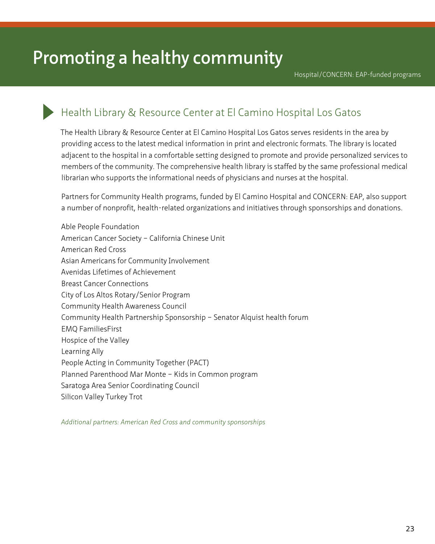## **Promoting a healthy community**

Hospital/CONCERN: EAP-funded programs

#### Health Library & Resource Center at El Camino Hospital Los Gatos

The Health Library & Resource Center at El Camino Hospital Los Gatos serves residents in the area by providing access to the latest medical information in print and electronic formats. The library is located adjacent to the hospital in a comfortable setting designed to promote and provide personalized services to members of the community. The comprehensive health library is staffed by the same professional medical librarian who supports the informational needs of physicians and nurses at the hospital.

Partners for Community Health programs, funded by El Camino Hospital and CONCERN: EAP, also support a number of nonprofit, health-related organizations and initiatives through sponsorships and donations.

Able People Foundation American Cancer Society – California Chinese Unit American Red Cross Asian Americans for Community Involvement Avenidas Lifetimes of Achievement Breast Cancer Connections City of Los Altos Rotary/Senior Program Community Health Awareness Council Community Health Partnership Sponsorship – Senator Alquist health forum EMQ FamiliesFirst Hospice of the Valley Learning Ally People Acting in Community Together (PACT) Planned Parenthood Mar Monte – Kids in Common program Saratoga Area Senior Coordinating Council Silicon Valley Turkey Trot

*Additional partners: American Red Cross and community sponsorships*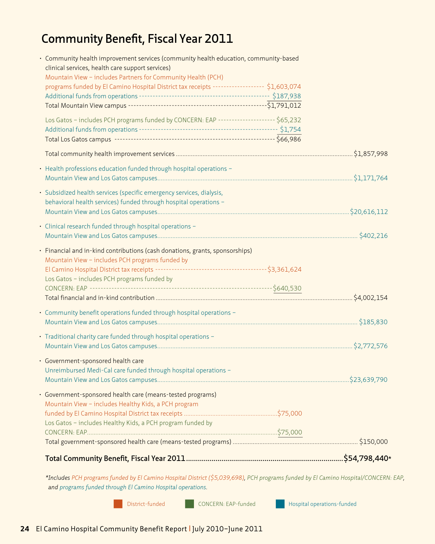### **Community Benefit, Fiscal Year 2011**

| Los Gatos - includes Healthy Kids, a PCH program funded by                                                                                                                     |                                                                                                                                                                                                                                                                               |
|--------------------------------------------------------------------------------------------------------------------------------------------------------------------------------|-------------------------------------------------------------------------------------------------------------------------------------------------------------------------------------------------------------------------------------------------------------------------------|
| Government-sponsored health care (means-tested programs)<br>Mountain View - includes Healthy Kids, a PCH program                                                               |                                                                                                                                                                                                                                                                               |
| · Government-sponsored health care<br>Unreimbursed Medi-Cal care funded through hospital operations -                                                                          |                                                                                                                                                                                                                                                                               |
| • Traditional charity care funded through hospital operations -                                                                                                                |                                                                                                                                                                                                                                                                               |
| • Community benefit operations funded through hospital operations -                                                                                                            |                                                                                                                                                                                                                                                                               |
| • Financial and in-kind contributions (cash donations, grants, sponsorships)<br>Mountain View - includes PCH programs funded by<br>Los Gatos - includes PCH programs funded by |                                                                                                                                                                                                                                                                               |
| · Clinical research funded through hospital operations -                                                                                                                       |                                                                                                                                                                                                                                                                               |
| · Subsidized health services (specific emergency services, dialysis,<br>behavioral health services) funded through hospital operations -                                       |                                                                                                                                                                                                                                                                               |
| • Health professions education funded through hospital operations -                                                                                                            |                                                                                                                                                                                                                                                                               |
|                                                                                                                                                                                |                                                                                                                                                                                                                                                                               |
|                                                                                                                                                                                |                                                                                                                                                                                                                                                                               |
| clinical services, health care support services)<br>Mountain View - includes Partners for Community Health (PCH)                                                               |                                                                                                                                                                                                                                                                               |
|                                                                                                                                                                                | · Community health improvement services (community health education, community-based<br>programs funded by El Camino Hospital District tax receipts ------------------ \$1,603,074<br>Los Gatos - includes PCH programs funded by CONCERN: EAP --------------------- \$65,232 |

*\*Includes PCH programs funded by El Camino Hospital District (\$5,039,698), PCH programs funded by El Camino Hospital/CONCERN: EAP, and programs funded through El Camino Hospital operations.*

District-funded **CONCERN: EAP-funded** Hospital operations-funded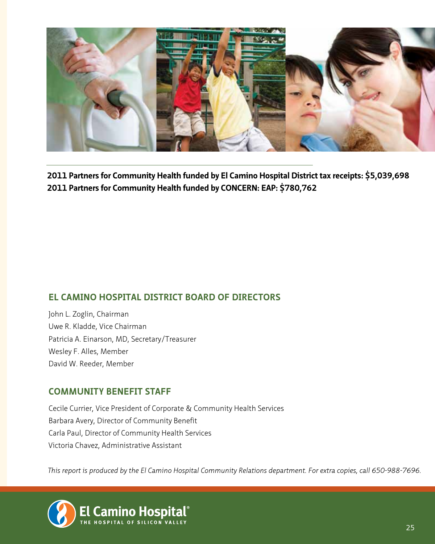

**2011 Partners for Community Health funded by El Camino Hospital District tax receipts: \$5,039,698 2011 Partners for Community Health funded by CONCERN: EAP: \$780,762**

#### **EL CAMINO HOSPITAL DISTRICT BOARD OF DIRECTORS**

John L. Zoglin, Chairman Uwe R. Kladde, Vice Chairman Patricia A. Einarson, MD, Secretary/Treasurer Wesley F. Alles, Member David W. Reeder, Member

#### **COMMUNITY BENEFIT STAFF**

Cecile Currier, Vice President of Corporate & Community Health Services Barbara Avery, Director of Community Benefit Carla Paul, Director of Community Health Services Victoria Chavez, Administrative Assistant

*This report is produced by the El Camino Hospital Community Relations department. For extra copies, call 650-988-7696.*